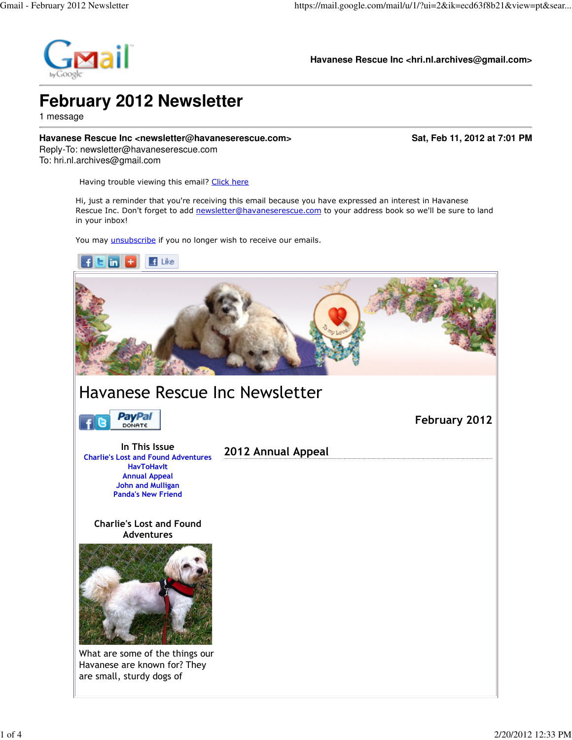

**Havanese Rescue Inc <hri.nl.archives@gmail.com>**

# **February 2012 Newsletter**

1 message

#### **Havanese Rescue Inc <newsletter@havaneserescue.com> Sat, Feb 11, 2012 at 7:01 PM**

Reply-To: newsletter@havaneserescue.com To: hri.nl.archives@gmail.com

Having trouble viewing this email? Click here

Hi, just a reminder that you're receiving this email because you have expressed an interest in Havanese Rescue Inc. Don't forget to add newsletter@havaneserescue.com to your address book so we'll be sure to land in your inbox!

You may *unsubscribe* if you no longer wish to receive our emails.

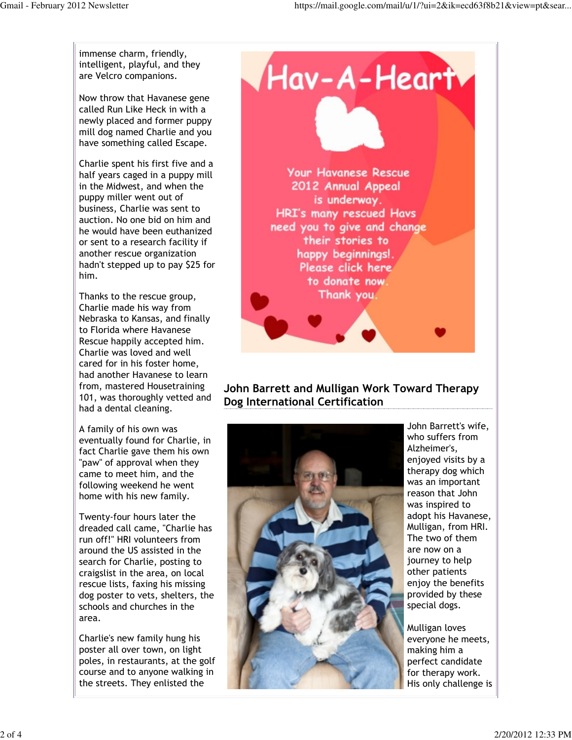immense charm, friendly, intelligent, playful, and they are Velcro companions.

Now throw that Havanese gene called Run Like Heck in with a newly placed and former puppy mill dog named Charlie and you have something called Escape.

Charlie spent his first five and a half years caged in a puppy mill in the Midwest, and when the puppy miller went out of business, Charlie was sent to auction. No one bid on him and he would have been euthanized or sent to a research facility if another rescue organization hadn't stepped up to pay \$25 for him.

Thanks to the rescue group, Charlie made his way from Nebraska to Kansas, and finally to Florida where Havanese Rescue happily accepted him. Charlie was loved and well cared for in his foster home, had another Havanese to learn from, mastered Housetraining 101, was thoroughly vetted and had a dental cleaning.

A family of his own was eventually found for Charlie, in fact Charlie gave them his own "paw" of approval when they came to meet him, and the following weekend he went home with his new family.

Twenty-four hours later the dreaded call came, "Charlie has run off!" HRI volunteers from around the US assisted in the search for Charlie, posting to craigslist in the area, on local rescue lists, faxing his missing dog poster to vets, shelters, the schools and churches in the area.

Charlie's new family hung his poster all over town, on light poles, in restaurants, at the golf course and to anyone walking in the streets. They enlisted the



## John Barrett and Mulligan Work Toward Therapy Dog International Certification



John Barrett's wife, who suffers from Alzheimer's, enjoyed visits by a therapy dog which was an important reason that John was inspired to adopt his Havanese, Mulligan, from HRI. The two of them are now on a journey to help other patients enjoy the benefits provided by these special dogs.

Mulligan loves everyone he meets, making him a perfect candidate for therapy work. His only challenge is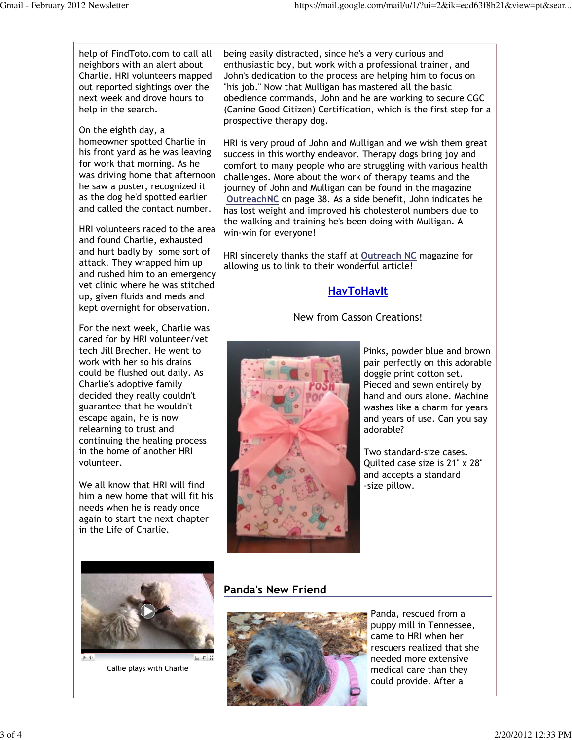help of FindToto.com to call all neighbors with an alert about Charlie. HRI volunteers mapped out reported sightings over the next week and drove hours to help in the search.

On the eighth day, a homeowner spotted Charlie in his front yard as he was leaving for work that morning. As he was driving home that afternoon he saw a poster, recognized it as the dog he'd spotted earlier and called the contact number.

HRI volunteers raced to the area and found Charlie, exhausted and hurt badly by some sort of attack. They wrapped him up and rushed him to an emergency vet clinic where he was stitched up, given fluids and meds and kept overnight for observation.

For the next week, Charlie was cared for by HRI volunteer/vet tech Jill Brecher. He went to work with her so his drains could be flushed out daily. As Charlie's adoptive family decided they really couldn't guarantee that he wouldn't escape again, he is now relearning to trust and continuing the healing process in the home of another HRI volunteer.

We all know that HRI will find him a new home that will fit his needs when he is ready once again to start the next chapter in the Life of Charlie.

being easily distracted, since he's a very curious and enthusiastic boy, but work with a professional trainer, and John's dedication to the process are helping him to focus on "his job." Now that Mulligan has mastered all the basic obedience commands, John and he are working to secure CGC (Canine Good Citizen) Certification, which is the first step for a prospective therapy dog.

HRI is very proud of John and Mulligan and we wish them great success in this worthy endeavor. Therapy dogs bring joy and comfort to many people who are struggling with various health challenges. More about the work of therapy teams and the journey of John and Mulligan can be found in the magazine OutreachNC on page 38. As a side benefit, John indicates he has lost weight and improved his cholesterol numbers due to the walking and training he's been doing with Mulligan. A win-win for everyone!

HRI sincerely thanks the staff at Outreach NC magazine for allowing us to link to their wonderful article!

## HavToHavIt

#### New from Casson Creations!



Pinks, powder blue and brown pair perfectly on this adorable doggie print cotton set. Pieced and sewn entirely by hand and ours alone. Machine washes like a charm for years and years of use. Can you say adorable?

Two standard-size cases. Quilted case size is 21" x 28" and accepts a standard -size pillow.



Callie plays with Charlie

## Panda's New Friend



Panda, rescued from a puppy mill in Tennessee, came to HRI when her rescuers realized that she needed more extensive medical care than they could provide. After a